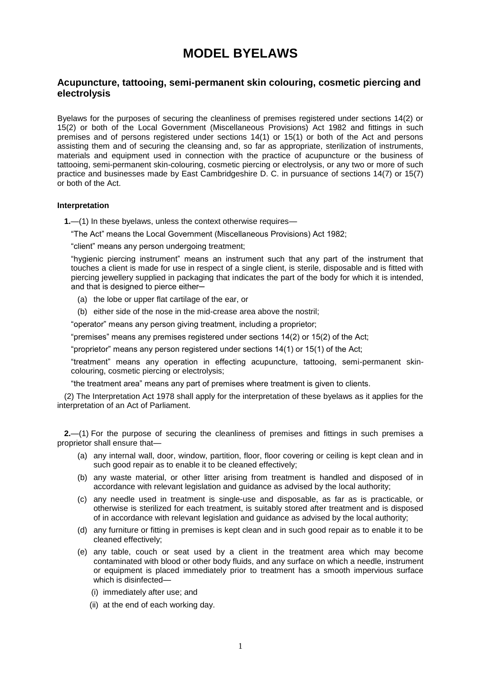# **MODEL BYELAWS**

## **Acupuncture, tattooing, semi-permanent skin colouring, cosmetic piercing and electrolysis**

Byelaws for the purposes of securing the cleanliness of premises registered under sections 14(2) or 15(2) or both of the Local Government (Miscellaneous Provisions) Act 1982 and fittings in such premises and of persons registered under sections 14(1) or 15(1) or both of the Act and persons assisting them and of securing the cleansing and, so far as appropriate, sterilization of instruments, materials and equipment used in connection with the practice of acupuncture or the business of tattooing, semi-permanent skin-colouring, cosmetic piercing or electrolysis, or any two or more of such practice and businesses made by East Cambridgeshire D. C. in pursuance of sections 14(7) or 15(7) or both of the Act.

#### **Interpretation**

**1.**—(1) In these byelaws, unless the context otherwise requires—

"The Act" means the Local Government (Miscellaneous Provisions) Act 1982;

"client" means any person undergoing treatment;

"hygienic piercing instrument" means an instrument such that any part of the instrument that touches a client is made for use in respect of a single client, is sterile, disposable and is fitted with piercing jewellery supplied in packaging that indicates the part of the body for which it is intended, and that is designed to pierce either-

- (a) the lobe or upper flat cartilage of the ear, or
- (b) either side of the nose in the mid-crease area above the nostril;

"operator" means any person giving treatment, including a proprietor;

"premises" means any premises registered under sections 14(2) or 15(2) of the Act;

"proprietor" means any person registered under sections 14(1) or 15(1) of the Act;

"treatment" means any operation in effecting acupuncture, tattooing, semi-permanent skincolouring, cosmetic piercing or electrolysis;

"the treatment area" means any part of premises where treatment is given to clients.

(2) The Interpretation Act 1978 shall apply for the interpretation of these byelaws as it applies for the interpretation of an Act of Parliament.

**2.**—(1) For the purpose of securing the cleanliness of premises and fittings in such premises a proprietor shall ensure that—

- (a) any internal wall, door, window, partition, floor, floor covering or ceiling is kept clean and in such good repair as to enable it to be cleaned effectively;
- (b) any waste material, or other litter arising from treatment is handled and disposed of in accordance with relevant legislation and guidance as advised by the local authority;
- (c) any needle used in treatment is single-use and disposable, as far as is practicable, or otherwise is sterilized for each treatment, is suitably stored after treatment and is disposed of in accordance with relevant legislation and guidance as advised by the local authority;
- (d) any furniture or fitting in premises is kept clean and in such good repair as to enable it to be cleaned effectively;
- (e) any table, couch or seat used by a client in the treatment area which may become contaminated with blood or other body fluids, and any surface on which a needle, instrument or equipment is placed immediately prior to treatment has a smooth impervious surface which is disinfected—
	- (i) immediately after use; and
	- (ii) at the end of each working day.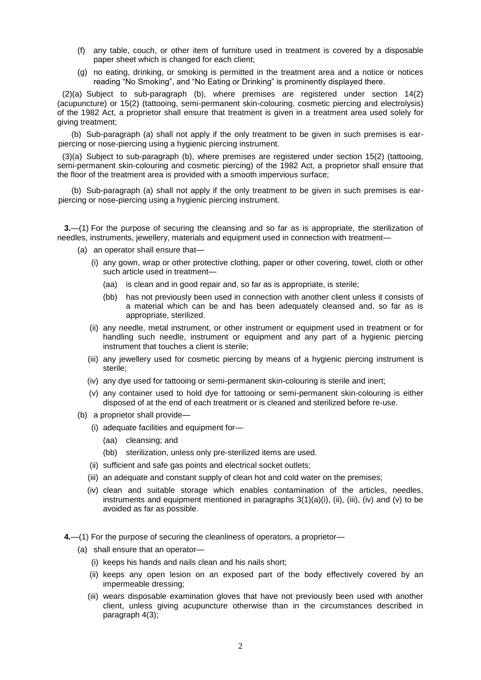- (f) any table, couch, or other item of furniture used in treatment is covered by a disposable paper sheet which is changed for each client;
- (g) no eating, drinking, or smoking is permitted in the treatment area and a notice or notices reading "No Smoking", and "No Eating or Drinking" is prominently displayed there.

(2)(a) Subject to sub-paragraph (b), where premises are registered under section 14(2) (acupuncture) or 15(2) (tattooing, semi-permanent skin-colouring, cosmetic piercing and electrolysis) of the 1982 Act, a proprietor shall ensure that treatment is given in a treatment area used solely for giving treatment;

(b) Sub-paragraph (a) shall not apply if the only treatment to be given in such premises is earpiercing or nose-piercing using a hygienic piercing instrument.

(3)(a) Subject to sub-paragraph (b), where premises are registered under section 15(2) (tattooing, semi-permanent skin-colouring and cosmetic piercing) of the 1982 Act, a proprietor shall ensure that the floor of the treatment area is provided with a smooth impervious surface;

(b) Sub-paragraph (a) shall not apply if the only treatment to be given in such premises is earpiercing or nose-piercing using a hygienic piercing instrument.

**3.**—(1) For the purpose of securing the cleansing and so far as is appropriate, the sterilization of needles, instruments, jewellery, materials and equipment used in connection with treatment—

- (a) an operator shall ensure that—
	- (i) any gown, wrap or other protective clothing, paper or other covering, towel, cloth or other such article used in treatment—
		- (aa) is clean and in good repair and, so far as is appropriate, is sterile;
		- (bb) has not previously been used in connection with another client unless it consists of a material which can be and has been adequately cleansed and, so far as is appropriate, sterilized.
	- (ii) any needle, metal instrument, or other instrument or equipment used in treatment or for handling such needle, instrument or equipment and any part of a hygienic piercing instrument that touches a client is sterile;
	- (iii) any jewellery used for cosmetic piercing by means of a hygienic piercing instrument is sterile;
	- (iv) any dye used for tattooing or semi-permanent skin-colouring is sterile and inert;
	- (v) any container used to hold dye for tattooing or semi-permanent skin-colouring is either disposed of at the end of each treatment or is cleaned and sterilized before re-use.
- (b) a proprietor shall provide—
	- (i) adequate facilities and equipment for—
		- (aa) cleansing; and
		- (bb) sterilization, unless only pre-sterilized items are used.
	- (ii) sufficient and safe gas points and electrical socket outlets;
	- (iii) an adequate and constant supply of clean hot and cold water on the premises;
	- (iv) clean and suitable storage which enables contamination of the articles, needles, instruments and equipment mentioned in paragraphs  $3(1)(a)(i)$ , (ii), (iii), (iv) and (v) to be avoided as far as possible.
- **4.**—(1) For the purpose of securing the cleanliness of operators, a proprietor—
	- (a) shall ensure that an operator—
		- (i) keeps his hands and nails clean and his nails short;
		- (ii) keeps any open lesion on an exposed part of the body effectively covered by an impermeable dressing;
		- (iii) wears disposable examination gloves that have not previously been used with another client, unless giving acupuncture otherwise than in the circumstances described in paragraph 4(3);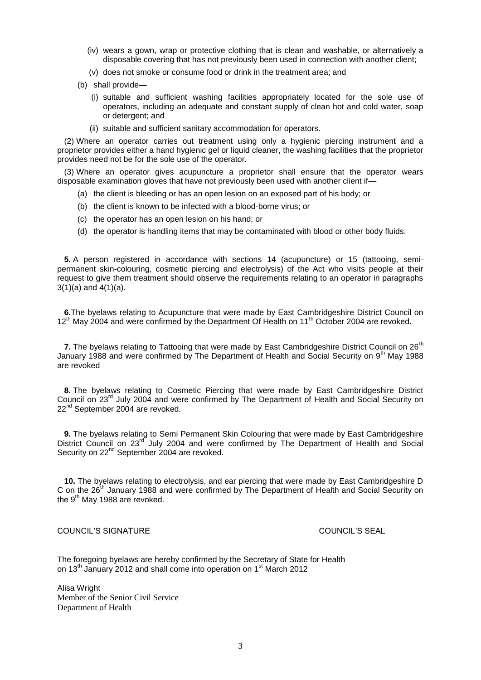- (iv) wears a gown, wrap or protective clothing that is clean and washable, or alternatively a disposable covering that has not previously been used in connection with another client;
- (v) does not smoke or consume food or drink in the treatment area; and
- (b) shall provide—
	- (i) suitable and sufficient washing facilities appropriately located for the sole use of operators, including an adequate and constant supply of clean hot and cold water, soap or detergent; and
	- (ii) suitable and sufficient sanitary accommodation for operators.

(2) Where an operator carries out treatment using only a hygienic piercing instrument and a proprietor provides either a hand hygienic gel or liquid cleaner, the washing facilities that the proprietor provides need not be for the sole use of the operator.

(3) Where an operator gives acupuncture a proprietor shall ensure that the operator wears disposable examination gloves that have not previously been used with another client if—

- (a) the client is bleeding or has an open lesion on an exposed part of his body; or
- (b) the client is known to be infected with a blood-borne virus; or
- (c) the operator has an open lesion on his hand; or
- (d) the operator is handling items that may be contaminated with blood or other body fluids.

**5.** A person registered in accordance with sections 14 (acupuncture) or 15 (tattooing, semipermanent skin-colouring, cosmetic piercing and electrolysis) of the Act who visits people at their request to give them treatment should observe the requirements relating to an operator in paragraphs  $3(1)(a)$  and  $4(1)(a)$ .

**6.**The byelaws relating to Acupuncture that were made by East Cambridgeshire District Council on 12<sup>th</sup> May 2004 and were confirmed by the Department Of Health on 11<sup>th</sup> October 2004 are revoked.

**7.** The byelaws relating to Tattooing that were made by East Cambridgeshire District Council on 26<sup>th</sup> January 1988 and were confirmed by The Department of Health and Social Security on 9<sup>th</sup> May 1988 are revoked

**8.** The byelaws relating to Cosmetic Piercing that were made by East Cambridgeshire District Council on 23<sup>rd</sup> July 2004 and were confirmed by The Department of Health and Social Security on 22<sup>nd</sup> September 2004 are revoked.

**9.** The byelaws relating to Semi Permanent Skin Colouring that were made by East Cambridgeshire District Council on 23<sup>rd</sup> July 2004 and were confirmed by The Department of Health and Social Security on 22<sup>nd</sup> September 2004 are revoked.

**10.** The byelaws relating to electrolysis, and ear piercing that were made by East Cambridgeshire D C on the 26<sup>th</sup> January 1988 and were confirmed by The Department of Health and Social Security on the  $9<sup>th</sup>$  May 1988 are revoked.

### COUNCIL'S SIGNATURE COUNCIL'S SEAL

The foregoing byelaws are hereby confirmed by the Secretary of State for Health on 13<sup>th</sup> January 2012 and shall come into operation on 1<sup>st</sup> March 2012

Alisa Wright Member of the Senior Civil Service Department of Health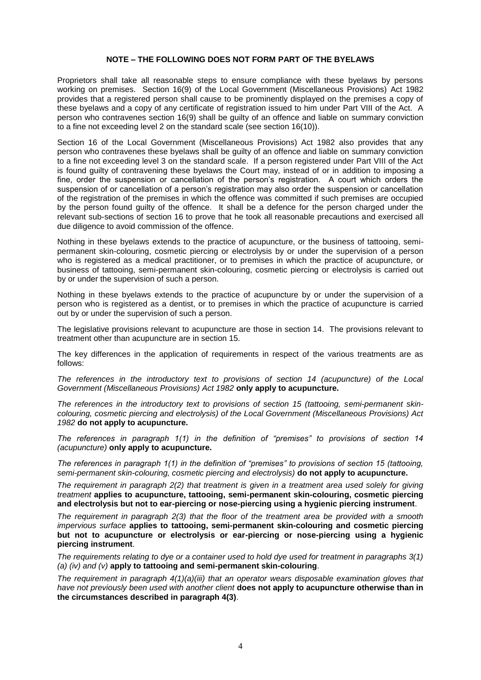#### **NOTE – THE FOLLOWING DOES NOT FORM PART OF THE BYELAWS**

Proprietors shall take all reasonable steps to ensure compliance with these byelaws by persons working on premises. Section 16(9) of the Local Government (Miscellaneous Provisions) Act 1982 provides that a registered person shall cause to be prominently displayed on the premises a copy of these byelaws and a copy of any certificate of registration issued to him under Part VIII of the Act. A person who contravenes section 16(9) shall be guilty of an offence and liable on summary conviction to a fine not exceeding level 2 on the standard scale (see section 16(10)).

Section 16 of the Local Government (Miscellaneous Provisions) Act 1982 also provides that any person who contravenes these byelaws shall be guilty of an offence and liable on summary conviction to a fine not exceeding level 3 on the standard scale. If a person registered under Part VIII of the Act is found guilty of contravening these byelaws the Court may, instead of or in addition to imposing a fine, order the suspension or cancellation of the person's registration. A court which orders the suspension of or cancellation of a person's registration may also order the suspension or cancellation of the registration of the premises in which the offence was committed if such premises are occupied by the person found guilty of the offence. It shall be a defence for the person charged under the relevant sub-sections of section 16 to prove that he took all reasonable precautions and exercised all due diligence to avoid commission of the offence.

Nothing in these byelaws extends to the practice of acupuncture, or the business of tattooing, semipermanent skin-colouring, cosmetic piercing or electrolysis by or under the supervision of a person who is registered as a medical practitioner, or to premises in which the practice of acupuncture, or business of tattooing, semi-permanent skin-colouring, cosmetic piercing or electrolysis is carried out by or under the supervision of such a person.

Nothing in these byelaws extends to the practice of acupuncture by or under the supervision of a person who is registered as a dentist, or to premises in which the practice of acupuncture is carried out by or under the supervision of such a person.

The legislative provisions relevant to acupuncture are those in section 14. The provisions relevant to treatment other than acupuncture are in section 15.

The key differences in the application of requirements in respect of the various treatments are as follows:

*The references in the introductory text to provisions of section 14 (acupuncture) of the Local Government (Miscellaneous Provisions) Act 1982* **only apply to acupuncture.**

*The references in the introductory text to provisions of section 15 (tattooing, semi-permanent skincolouring, cosmetic piercing and electrolysis) of the Local Government (Miscellaneous Provisions) Act 1982* **do not apply to acupuncture.**

*The references in paragraph 1(1) in the definition of "premises" to provisions of section 14 (acupuncture)* **only apply to acupuncture.**

*The references in paragraph 1(1) in the definition of "premises" to provisions of section 15 (tattooing, semi-permanent skin-colouring, cosmetic piercing and electrolysis)* **do not apply to acupuncture.**

*The requirement in paragraph 2(2) that treatment is given in a treatment area used solely for giving treatment* **applies to acupuncture, tattooing, semi-permanent skin-colouring, cosmetic piercing and electrolysis but not to ear-piercing or nose-piercing using a hygienic piercing instrument**.

*The requirement in paragraph 2(3) that the floor of the treatment area be provided with a smooth impervious surface* **applies to tattooing, semi-permanent skin-colouring and cosmetic piercing but not to acupuncture or electrolysis or ear-piercing or nose-piercing using a hygienic piercing instrument**.

*The requirements relating to dye or a container used to hold dye used for treatment in paragraphs 3(1) (a) (iv) and (v)* **apply to tattooing and semi-permanent skin-colouring**.

*The requirement in paragraph 4(1)(a)(iii) that an operator wears disposable examination gloves that have not previously been used with another client* **does not apply to acupuncture otherwise than in the circumstances described in paragraph 4(3)**.